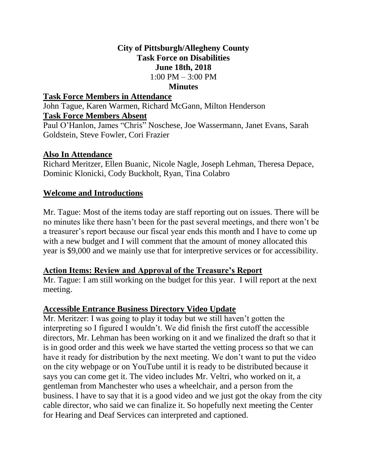## **City of Pittsburgh/Allegheny County Task Force on Disabilities June 18th, 2018**  $1:00 \text{ PM} - 3:00 \text{ PM}$

### **Minutes**

### **Task Force Members in Attendance**

John Tague, Karen Warmen, Richard McGann, Milton Henderson **Task Force Members Absent**

Paul O'Hanlon, James "Chris" Noschese, Joe Wassermann, Janet Evans, Sarah Goldstein, Steve Fowler, Cori Frazier

## **Also In Attendance**

Richard Meritzer, Ellen Buanic, Nicole Nagle, Joseph Lehman, Theresa Depace, Dominic Klonicki, Cody Buckholt, Ryan, Tina Colabro

## **Welcome and Introductions**

Mr. Tague: Most of the items today are staff reporting out on issues. There will be no minutes like there hasn't been for the past several meetings, and there won't be a treasurer's report because our fiscal year ends this month and I have to come up with a new budget and I will comment that the amount of money allocated this year is \$9,000 and we mainly use that for interpretive services or for accessibility.

### **Action Items: Review and Approval of the Treasure's Report**

Mr. Tague: I am still working on the budget for this year. I will report at the next meeting.

### **Accessible Entrance Business Directory Video Update**

Mr. Meritzer: I was going to play it today but we still haven't gotten the interpreting so I figured I wouldn't. We did finish the first cutoff the accessible directors, Mr. Lehman has been working on it and we finalized the draft so that it is in good order and this week we have started the vetting process so that we can have it ready for distribution by the next meeting. We don't want to put the video on the city webpage or on YouTube until it is ready to be distributed because it says you can come get it. The video includes Mr. Veltri, who worked on it, a gentleman from Manchester who uses a wheelchair, and a person from the business. I have to say that it is a good video and we just got the okay from the city cable director, who said we can finalize it. So hopefully next meeting the Center for Hearing and Deaf Services can interpreted and captioned.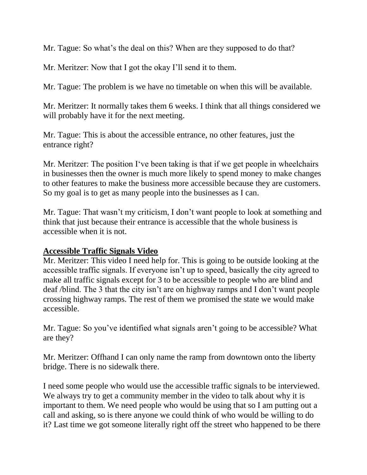Mr. Tague: So what's the deal on this? When are they supposed to do that?

Mr. Meritzer: Now that I got the okay I'll send it to them.

Mr. Tague: The problem is we have no timetable on when this will be available.

Mr. Meritzer: It normally takes them 6 weeks. I think that all things considered we will probably have it for the next meeting.

Mr. Tague: This is about the accessible entrance, no other features, just the entrance right?

Mr. Meritzer: The position I've been taking is that if we get people in wheelchairs in businesses then the owner is much more likely to spend money to make changes to other features to make the business more accessible because they are customers. So my goal is to get as many people into the businesses as I can.

Mr. Tague: That wasn't my criticism, I don't want people to look at something and think that just because their entrance is accessible that the whole business is accessible when it is not.

# **Accessible Traffic Signals Video**

Mr. Meritzer: This video I need help for. This is going to be outside looking at the accessible traffic signals. If everyone isn't up to speed, basically the city agreed to make all traffic signals except for 3 to be accessible to people who are blind and deaf /blind. The 3 that the city isn't are on highway ramps and I don't want people crossing highway ramps. The rest of them we promised the state we would make accessible.

Mr. Tague: So you've identified what signals aren't going to be accessible? What are they?

Mr. Meritzer: Offhand I can only name the ramp from downtown onto the liberty bridge. There is no sidewalk there.

I need some people who would use the accessible traffic signals to be interviewed. We always try to get a community member in the video to talk about why it is important to them. We need people who would be using that so I am putting out a call and asking, so is there anyone we could think of who would be willing to do it? Last time we got someone literally right off the street who happened to be there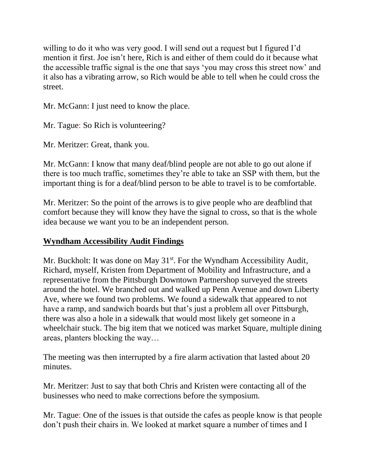willing to do it who was very good. I will send out a request but I figured I'd mention it first. Joe isn't here, Rich is and either of them could do it because what the accessible traffic signal is the one that says 'you may cross this street now' and it also has a vibrating arrow, so Rich would be able to tell when he could cross the street.

Mr. McGann: I just need to know the place.

Mr. Tague: So Rich is volunteering?

Mr. Meritzer: Great, thank you.

Mr. McGann: I know that many deaf/blind people are not able to go out alone if there is too much traffic, sometimes they're able to take an SSP with them, but the important thing is for a deaf/blind person to be able to travel is to be comfortable.

Mr. Meritzer: So the point of the arrows is to give people who are deafblind that comfort because they will know they have the signal to cross, so that is the whole idea because we want you to be an independent person.

# **Wyndham Accessibility Audit Findings**

Mr. Buckholt: It was done on May  $31<sup>st</sup>$ . For the Wyndham Accessibility Audit, Richard, myself, Kristen from Department of Mobility and Infrastructure, and a representative from the Pittsburgh Downtown Partnershop surveyed the streets around the hotel. We branched out and walked up Penn Avenue and down Liberty Ave, where we found two problems. We found a sidewalk that appeared to not have a ramp, and sandwich boards but that's just a problem all over Pittsburgh, there was also a hole in a sidewalk that would most likely get someone in a wheelchair stuck. The big item that we noticed was market Square, multiple dining areas, planters blocking the way…

The meeting was then interrupted by a fire alarm activation that lasted about 20 minutes.

Mr. Meritzer: Just to say that both Chris and Kristen were contacting all of the businesses who need to make corrections before the symposium.

Mr. Tague: One of the issues is that outside the cafes as people know is that people don't push their chairs in. We looked at market square a number of times and I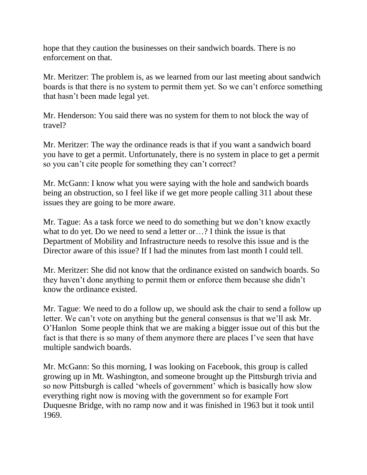hope that they caution the businesses on their sandwich boards. There is no enforcement on that.

Mr. Meritzer: The problem is, as we learned from our last meeting about sandwich boards is that there is no system to permit them yet. So we can't enforce something that hasn't been made legal yet.

Mr. Henderson: You said there was no system for them to not block the way of travel?

Mr. Meritzer: The way the ordinance reads is that if you want a sandwich board you have to get a permit. Unfortunately, there is no system in place to get a permit so you can't cite people for something they can't correct?

Mr. McGann: I know what you were saying with the hole and sandwich boards being an obstruction, so I feel like if we get more people calling 311 about these issues they are going to be more aware.

Mr. Tague: As a task force we need to do something but we don't know exactly what to do yet. Do we need to send a letter or…? I think the issue is that Department of Mobility and Infrastructure needs to resolve this issue and is the Director aware of this issue? If I had the minutes from last month I could tell.

Mr. Meritzer: She did not know that the ordinance existed on sandwich boards. So they haven't done anything to permit them or enforce them because she didn't know the ordinance existed.

Mr. Tague: We need to do a follow up, we should ask the chair to send a follow up letter. We can't vote on anything but the general consensus is that we'll ask Mr. O'Hanlon Some people think that we are making a bigger issue out of this but the fact is that there is so many of them anymore there are places I've seen that have multiple sandwich boards.

Mr. McGann: So this morning, I was looking on Facebook, this group is called growing up in Mt. Washington, and someone brought up the Pittsburgh trivia and so now Pittsburgh is called 'wheels of government' which is basically how slow everything right now is moving with the government so for example Fort Duquesne Bridge, with no ramp now and it was finished in 1963 but it took until 1969.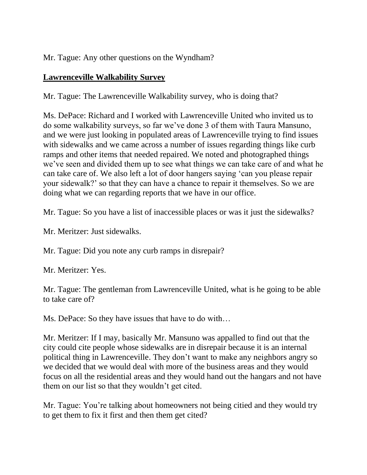Mr. Tague: Any other questions on the Wyndham?

# **Lawrenceville Walkability Survey**

Mr. Tague: The Lawrenceville Walkability survey, who is doing that?

Ms. DePace: Richard and I worked with Lawrenceville United who invited us to do some walkability surveys, so far we've done 3 of them with Taura Mansuno, and we were just looking in populated areas of Lawrenceville trying to find issues with sidewalks and we came across a number of issues regarding things like curb ramps and other items that needed repaired. We noted and photographed things we've seen and divided them up to see what things we can take care of and what he can take care of. We also left a lot of door hangers saying 'can you please repair your sidewalk?' so that they can have a chance to repair it themselves. So we are doing what we can regarding reports that we have in our office.

Mr. Tague: So you have a list of inaccessible places or was it just the sidewalks?

Mr. Meritzer: Just sidewalks.

Mr. Tague: Did you note any curb ramps in disrepair?

Mr. Meritzer: Yes.

Mr. Tague: The gentleman from Lawrenceville United, what is he going to be able to take care of?

Ms. DePace: So they have issues that have to do with…

Mr. Meritzer: If I may, basically Mr. Mansuno was appalled to find out that the city could cite people whose sidewalks are in disrepair because it is an internal political thing in Lawrenceville. They don't want to make any neighbors angry so we decided that we would deal with more of the business areas and they would focus on all the residential areas and they would hand out the hangars and not have them on our list so that they wouldn't get cited.

Mr. Tague: You're talking about homeowners not being citied and they would try to get them to fix it first and then them get cited?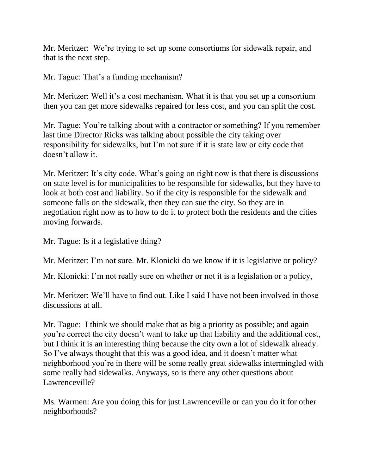Mr. Meritzer: We're trying to set up some consortiums for sidewalk repair, and that is the next step.

Mr. Tague: That's a funding mechanism?

Mr. Meritzer: Well it's a cost mechanism. What it is that you set up a consortium then you can get more sidewalks repaired for less cost, and you can split the cost.

Mr. Tague: You're talking about with a contractor or something? If you remember last time Director Ricks was talking about possible the city taking over responsibility for sidewalks, but I'm not sure if it is state law or city code that doesn't allow it.

Mr. Meritzer: It's city code. What's going on right now is that there is discussions on state level is for municipalities to be responsible for sidewalks, but they have to look at both cost and liability. So if the city is responsible for the sidewalk and someone falls on the sidewalk, then they can sue the city. So they are in negotiation right now as to how to do it to protect both the residents and the cities moving forwards.

Mr. Tague: Is it a legislative thing?

Mr. Meritzer: I'm not sure. Mr. Klonicki do we know if it is legislative or policy?

Mr. Klonicki: I'm not really sure on whether or not it is a legislation or a policy,

Mr. Meritzer: We'll have to find out. Like I said I have not been involved in those discussions at all.

Mr. Tague: I think we should make that as big a priority as possible; and again you're correct the city doesn't want to take up that liability and the additional cost, but I think it is an interesting thing because the city own a lot of sidewalk already. So I've always thought that this was a good idea, and it doesn't matter what neighborhood you're in there will be some really great sidewalks intermingled with some really bad sidewalks. Anyways, so is there any other questions about Lawrenceville?

Ms. Warmen: Are you doing this for just Lawrenceville or can you do it for other neighborhoods?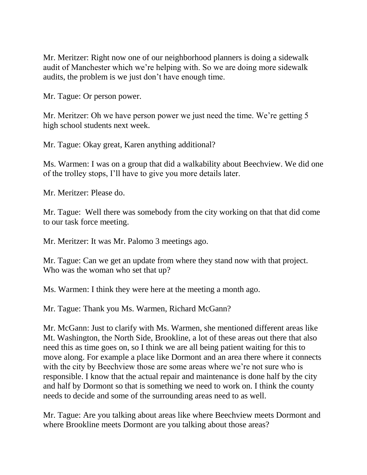Mr. Meritzer: Right now one of our neighborhood planners is doing a sidewalk audit of Manchester which we're helping with. So we are doing more sidewalk audits, the problem is we just don't have enough time.

Mr. Tague: Or person power.

Mr. Meritzer: Oh we have person power we just need the time. We're getting 5 high school students next week.

Mr. Tague: Okay great, Karen anything additional?

Ms. Warmen: I was on a group that did a walkability about Beechview. We did one of the trolley stops, I'll have to give you more details later.

Mr. Meritzer: Please do.

Mr. Tague: Well there was somebody from the city working on that that did come to our task force meeting.

Mr. Meritzer: It was Mr. Palomo 3 meetings ago.

Mr. Tague: Can we get an update from where they stand now with that project. Who was the woman who set that up?

Ms. Warmen: I think they were here at the meeting a month ago.

Mr. Tague: Thank you Ms. Warmen, Richard McGann?

Mr. McGann: Just to clarify with Ms. Warmen, she mentioned different areas like Mt. Washington, the North Side, Brookline, a lot of these areas out there that also need this as time goes on, so I think we are all being patient waiting for this to move along. For example a place like Dormont and an area there where it connects with the city by Beechview those are some areas where we're not sure who is responsible. I know that the actual repair and maintenance is done half by the city and half by Dormont so that is something we need to work on. I think the county needs to decide and some of the surrounding areas need to as well.

Mr. Tague: Are you talking about areas like where Beechview meets Dormont and where Brookline meets Dormont are you talking about those areas?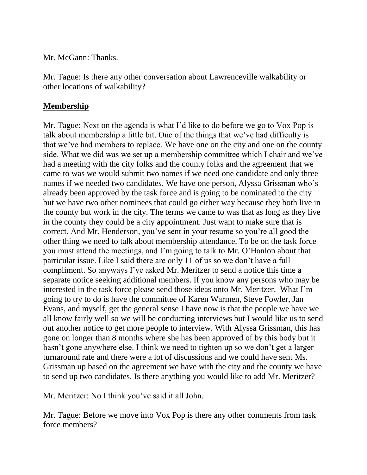Mr. McGann: Thanks.

Mr. Tague: Is there any other conversation about Lawrenceville walkability or other locations of walkability?

## **Membership**

Mr. Tague: Next on the agenda is what I'd like to do before we go to Vox Pop is talk about membership a little bit. One of the things that we've had difficulty is that we've had members to replace. We have one on the city and one on the county side. What we did was we set up a membership committee which I chair and we've had a meeting with the city folks and the county folks and the agreement that we came to was we would submit two names if we need one candidate and only three names if we needed two candidates. We have one person, Alyssa Grissman who's already been approved by the task force and is going to be nominated to the city but we have two other nominees that could go either way because they both live in the county but work in the city. The terms we came to was that as long as they live in the county they could be a city appointment. Just want to make sure that is correct. And Mr. Henderson, you've sent in your resume so you're all good the other thing we need to talk about membership attendance. To be on the task force you must attend the meetings, and I'm going to talk to Mr. O'Hanlon about that particular issue. Like I said there are only 11 of us so we don't have a full compliment. So anyways I've asked Mr. Meritzer to send a notice this time a separate notice seeking additional members. If you know any persons who may be interested in the task force please send those ideas onto Mr. Meritzer. What I'm going to try to do is have the committee of Karen Warmen, Steve Fowler, Jan Evans, and myself, get the general sense I have now is that the people we have we all know fairly well so we will be conducting interviews but I would like us to send out another notice to get more people to interview. With Alyssa Grissman, this has gone on longer than 8 months where she has been approved of by this body but it hasn't gone anywhere else. I think we need to tighten up so we don't get a larger turnaround rate and there were a lot of discussions and we could have sent Ms. Grissman up based on the agreement we have with the city and the county we have to send up two candidates. Is there anything you would like to add Mr. Meritzer?

Mr. Meritzer: No I think you've said it all John.

Mr. Tague: Before we move into Vox Pop is there any other comments from task force members?